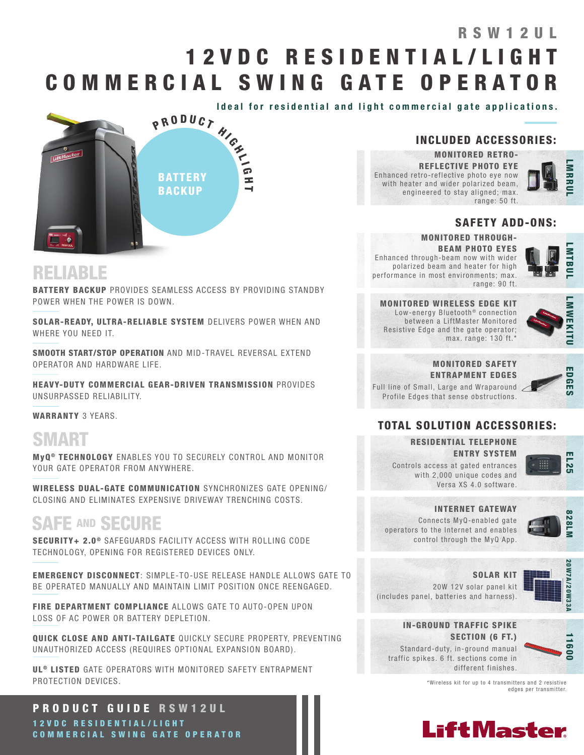# 1 2 V D C R E S I D E N T I A L / L I G H T COMMERCIAL SWING GATE OPERATOR RSW12UL





## INCLUDED ACCESSORIES:

MONITORED RETRO-REFLECTIVE PHOTO EYE Enhanced retro-reflective photo eye now with heater and wider polarized beam, engineered to stay aligned; max. range: 50 ft.



### SAFETY ADD-ONS:

#### MONITORED THROUGH-

BEAM PHOTO EYES Enhanced through-beam now with wider polarized beam and heater for high performance in most environments; max. range: 90 ft.



MONITORED WIRELESS EDGE KIT Low-energy Bluetooth<sup>®</sup> connection between a LiftMaster Monitored Resistive Edge and the gate operator; max. range: 130 ft.\*



EDGES

### MONITORED SAFETY ENTRAPMENT EDGES

Full line of Small, Large and Wraparound Profile Edges that sense obstructions.

### TOTAL SOLUTION ACCESSORIES:

### RESIDENTIAL TELEPHONE ENTRY SYSTEM

Controls access at gated entrances with 2,000 unique codes and Versa XS 4.0 software.



#### INTERNET GATEWAY

Connects MyQ-enabled gate operators to the Internet and enables control through the MyQ App.



SOLAR KIT

20W 12V solar panel kit



(includes panel, batteries and harness).

IN-GROUND TRAFFIC SPIKE SECTION (6 FT.) Standard-duty, in-ground manual traffic spikes. 6 ft. sections come in



\*Wireless kit for up to 4 transmitters and 2 resistive edges per transmitter.

different finishes.



## RELIABLE

BATTERY BACKUP PROVIDES SEAMLESS ACCESS BY PROVIDING STANDBY POWER WHEN THE POWER IS DOWN.

SOLAR-READY, ULTRA-RELIABLE SYSTEM DELIVERS POWER WHEN AND WHERE YOU NEED IT

SMOOTH START/STOP OPERATION AND MID-TRAVEL REVERSAL EXTEND OPERATOR AND HARDWARE LIFE.

HEAVY-DUTY COMMERCIAL GEAR-DRIVEN TRANSMISSION PROVIDES UNSURPASSED RELIABILITY.

WARRANTY 3 YEARS.

# SMART

MyQ<sup>®</sup> TECHNOLOGY ENABLES YOU TO SECURELY CONTROL AND MONITOR YOUR GATE OPERATOR FROM ANYWHERE.

WIRELESS DUAL-GATE COMMUNICATION SYNCHRONIZES GATE OPENING/ CLOSING AND ELIMINATES EXPENSIVE DRIVEWAY TRENCHING COSTS.

# SAFE AND SECURE

SECURITY+ 2.0<sup>®</sup> SAFEGUARDS FACILITY ACCESS WITH ROLLING CODE TECHNOLOGY, OPENING FOR REGISTERED DEVICES ONLY.

EMERGENCY DISCONNECT: SIMPLE-TO-USE RELEASE HANDLE ALLOWS GATE TO BE OPERATED MANUALLY AND MAINTAIN LIMIT POSITION ONCE REENGAGED.

FIRE DEPARTMENT COMPLIANCE ALLOWS GATE TO AUTO-OPEN UPON LOSS OF AC POWER OR BATTERY DEPLETION.

QUICK CLOSE AND ANTI-TAILGATE QUICKLY SECURE PROPERTY, PREVENTING UNAUTHORIZED ACCESS (REQUIRES OPTIONAL EXPANSION BOARD).

UL<sup>®</sup> LISTED GATE OPERATORS WITH MONITORED SAFETY ENTRAPMENT PROTECTION DEVICES.

PRODUCT GUIDE RSW12UL 1 2 V D C R E S I D E N T I A L / L I G H T COMMERCIAL SWING GATE OPERATOR